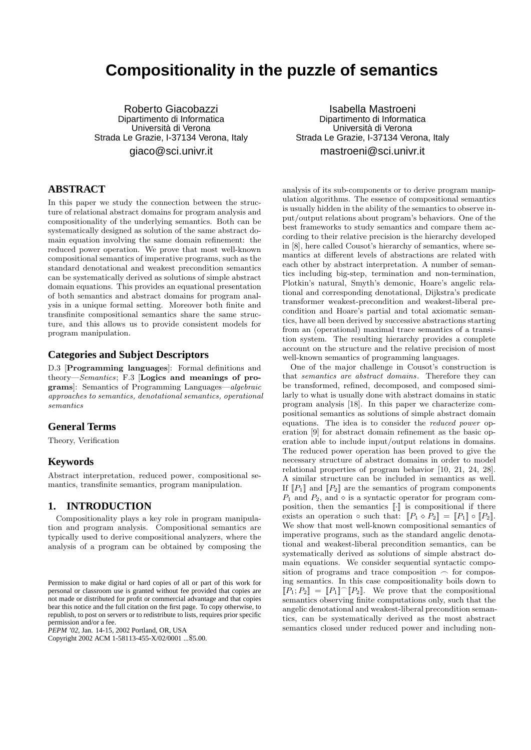# **Compositionality in the puzzle of semantics**

Roberto Giacobazzi Dipartimento di Informatica Universita di Verona ` Strada Le Grazie, I-37134 Verona, Italy giaco@sci.univr.it

## **ABSTRACT**

In this paper we study the connection between the structure of relational abstract domains for program analysis and compositionality of the underlying semantics. Both can be systematically designed as solution of the same abstract domain equation involving the same domain refinement: the reduced power operation. We prove that most well-known compositional semantics of imperative programs, such as the standard denotational and weakest precondition semantics can be systematically derived as solutions of simple abstract domain equations. This provides an equational presentation of both semantics and abstract domains for program analysis in a unique formal setting. Moreover both finite and transfinite compositional semantics share the same structure, and this allows us to provide consistent models for program manipulation.

#### **Categories and Subject Descriptors**

D.3 [Programming languages]: Formal definitions and theory—Semantics; F.3 [Logics and meanings of programs]: Semantics of Programming Languages—algebraic approaches to semantics, denotational semantics, operational semantics

## **General Terms**

Theory, Verification

#### **Keywords**

Abstract interpretation, reduced power, compositional semantics, transfinite semantics, program manipulation.

## **1. INTRODUCTION**

Compositionality plays a key role in program manipulation and program analysis. Compositional semantics are typically used to derive compositional analyzers, where the analysis of a program can be obtained by composing the

*PEPM '02,* Jan. 14-15, 2002 Portland, OR, USA

Copyright 2002 ACM 1-58113-455-X/02/0001 ...\$5.00.

Isabella Mastroeni Dipartimento di Informatica Universita di Verona ` Strada Le Grazie, I-37134 Verona, Italy mastroeni@sci.univr.it

analysis of its sub-components or to derive program manipulation algorithms. The essence of compositional semantics is usually hidden in the ability of the semantics to observe input/output relations about program's behaviors. One of the best frameworks to study semantics and compare them according to their relative precision is the hierarchy developed in [8], here called Cousot's hierarchy of semantics, where semantics at different levels of abstractions are related with each other by abstract interpretation. A number of semantics including big-step, termination and non-termination, Plotkin's natural, Smyth's demonic, Hoare's angelic relational and corresponding denotational, Dijkstra's predicate transformer weakest-precondition and weakest-liberal precondition and Hoare's partial and total axiomatic semantics, have all been derived by successive abstractions starting from an (operational) maximal trace semantics of a transition system. The resulting hierarchy provides a complete account on the structure and the relative precision of most well-known semantics of programming languages.

One of the major challenge in Cousot's construction is that semantics are abstract domains. Therefore they can be transformed, refined, decomposed, and composed similarly to what is usually done with abstract domains in static program analysis [18]. In this paper we characterize compositional semantics as solutions of simple abstract domain equations. The idea is to consider the reduced power operation [9] for abstract domain refinement as the basic operation able to include input/output relations in domains. The reduced power operation has been proved to give the necessary structure of abstract domains in order to model relational properties of program behavior [10, 21, 24, 28]. A similar structure can be included in semantics as well. If  $\llbracket P_1 \rrbracket$  and  $\llbracket P_2 \rrbracket$  are the semantics of program components  $P_1$  and  $P_2$ , and  $\diamond$  is a syntactic operator for program composition, then the semantics  $\lbrack \cdot \rbrack$  is compositional if there exists an operation  $\circ$  such that:  $\llbracket P_1 \circ P_2 \rrbracket = \llbracket P_1 \rrbracket \circ \llbracket P_2 \rrbracket$ . We show that most well-known compositional semantics of imperative programs, such as the standard angelic denotational and weakest-liberal precondition semantics, can be systematically derived as solutions of simple abstract domain equations. We consider sequential syntactic composition of programs and trace composition  $\sim$  for composing semantics. In this case compositionality boils down to  $[P_1; P_2] = [P_1] \cap [P_2]$ . We prove that the compositional semantics observing finite computations only, such that the angelic denotational and weakest-liberal precondition semantics, can be systematically derived as the most abstract semantics closed under reduced power and including non-

Permission to make digital or hard copies of all or part of this work for personal or classroom use is granted without fee provided that copies are not made or distributed for profit or commercial advantage and that copies bear this notice and the full citation on the first page. To copy otherwise, to republish, to post on servers or to redistribute to lists, requires prior specific permission and/or a fee.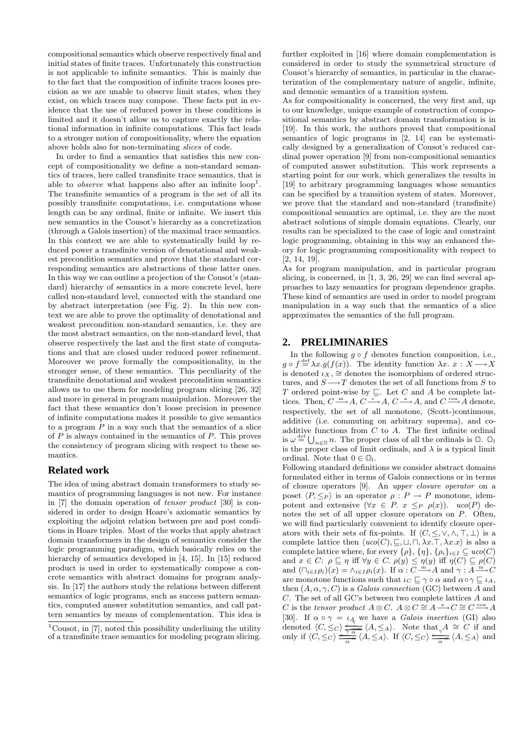compositional semantics which observe respectively final and initial states of finite traces. Unfortunately this construction is not applicable to infinite semantics. This is mainly due to the fact that the composition of infinite traces looses precision as we are unable to observe limit states, when they exist, on which traces may compose. These facts put in evidence that the use of reduced power in these conditions is limited and it doesn't allow us to capture exactly the relational information in infinite computations. This fact leads to a stronger notion of compositionality, where the equation above holds also for non-terminating slices of code.

In order to find a semantics that satisfies this new concept of compositionality we define a non-standard semantics of traces, here called transfinite trace semantics, that is able to *observe* what happens also after an infinite  $loop<sup>1</sup>$ . The transfinite semantics of a program is the set of all its possibly transfinite computations, i.e. computations whose length can be any ordinal, finite or infinite. We insert this new semantics in the Cousot's hierarchy as a concretization (through a Galois insertion) of the maximal trace semantics. In this context we are able to systematically build by reduced power a transfinite version of denotational and weakest precondition semantics and prove that the standard corresponding semantics are abstractions of these latter ones. In this way we can outline a projection of the Cousot's (standard) hierarchy of semantics in a more concrete level, here called non-standard level, connected with the standard one by abstract interpretation (see Fig. 2). In this new context we are able to prove the optimality of denotational and weakest precondition non-standard semantics, i.e. they are the most abstract semantics, on the non-standard level, that observe respectively the last and the first state of computations and that are closed under reduced power refinement. Moreover we prove formally the compositionality, in the stronger sense, of these semantics. This peculiarity of the transfinite denotational and weakest precondition semantics allows us to use them for modeling program slicing [26, 32] and more in general in program manipulation. Moreover the fact that these semantics don't loose precision in presence of infinite computations makes it possible to give semantics to a program  $P$  in a way such that the semantics of a slice of  $P$  is always contained in the semantics of  $P$ . This proves the consistency of program slicing with respect to these semantics.

#### **Related work**

The idea of using abstract domain transformers to study semantics of programming languages is not new. For instance in [7] the domain operation of tensor product [30] is considered in order to design Hoare's axiomatic semantics by exploiting the adjoint relation between pre and post conditions in Hoare triples. Most of the works that apply abstract domain transformers in the design of semantics consider the logic programming paradigm, which basically relies on the hierarchy of semantics developed in [4, 15]. In [15] reduced product is used in order to systematically compose a concrete semantics with abstract domains for program analysis. In [17] the authors study the relations between different semantics of logic programs, such as success pattern semantics, computed answer substitution semantics, and call pattern semantics by means of complementation. This idea is

further exploited in [16] where domain complementation is considered in order to study the symmetrical structure of Cousot's hierarchy of semantics, in particular in the characterization of the complementary nature of angelic, infinite, and demonic semantics of a transition system.

As for compositionality is concerned, the very first and, up to our knowledge, unique example of construction of compositional semantics by abstract domain transformation is in [19]. In this work, the authors proved that compositional semantics of logic programs in [2, 14] can be systematically designed by a generalization of Cousot's reduced cardinal power operation [9] from non-compositional semantics of computed answer substitution. This work represents a starting point for our work, which generalizes the results in [19] to arbitrary programming languages whose semantics can be specified by a transition system of states. Moreover, we prove that the standard and non-standard (transfinite) compositional semantics are optimal, i.e. they are the most abstract solutions of simple domain equations. Clearly, our results can be specialized to the case of logic and constraint logic programming, obtaining in this way an enhanced theory for logic programming compositionality with respect to [2, 14, 19].

As for program manipulation, and in particular program slicing, is concerned, in [1, 3, 26, 29] we can find several approaches to lazy semantics for program dependence graphs. These kind of semantics are used in order to model program manipulation in a way such that the semantics of a slice approximates the semantics of the full program.

#### **2. PRELIMINARIES**

In the following  $g \circ f$  denotes function composition, i.e.,  $g \circ f \stackrel{\text{def}}{=} \lambda x. g(f(x))$ . The identity function  $\lambda x. x : X \longrightarrow X$ is denoted  $\iota_X$ ,  $\cong$  denotes the isomorphism of ordered structures, and  $S \longrightarrow T$  denotes the set of all functions from S to T ordered point-wise by  $\subseteq$ . Let C and A be complete lattices. Then,  $C \xrightarrow{m} A$ ,  $C \xrightarrow{c} A$ ,  $C \xrightarrow{a} A$ , and  $C \xrightarrow{coa} A$  denote, respectively, the set of all monotone, (Scott-)continuous, additive (i.e. commuting on arbitrary suprema), and coadditive functions from  $C$  to  $A$ . The first infinite ordinal is  $\omega \stackrel{\text{def}}{=} \bigcup_{n \in \mathbb{N}} n$ . The proper class of all the ordinals is  $\mathbb{O}$ .  $\mathbb{O}_l$ is the proper class of limit ordinals, and  $\lambda$  is a typical limit ordinal. Note that  $0 \in \mathbb{O}_l$ .

Following standard definitions we consider abstract domains formulated either in terms of Galois connections or in terms of closure operators [9]. An upper closure operator on a poset  $\langle P, \leq_P \rangle$  is an operator  $\rho : P \to P$  monotone, idempotent and extensive  $(\forall x \in P, x \leq_P \rho(x))$ . uco(P) denotes the set of all upper closure operators on P. Often, we will find particularly convenient to identify closure operators with their sets of fix-points. If  $\langle C, \leq, \vee, \wedge, \top, \bot \rangle$  is a complete lattice then  $\langle uco(C), \square, \square, \square, \lambda x.\top, \lambda x.x \rangle$  is also a complete lattice where, for every  $\{\rho\}, \{\eta\}, \{\rho_i\}_{i \in I} \subseteq uco(C)$ and  $x \in C: \rho \sqsubseteq \eta$  iff  $\forall y \in C. \rho(y) \leq \eta(y)$  iff  $\eta(C) \subseteq \rho(C)$ and  $(\Box_{i\in I}\rho_i)(x) = \Lambda_{i\in I}\rho_i(x)$ . If  $\alpha: C \longrightarrow A$  and  $\gamma: A \longrightarrow C$ are monotone functions such that  $\iota_C \sqsubseteq \gamma \circ \alpha$  and  $\alpha \circ \gamma \sqsubseteq \iota_A$ , then  $(A, \alpha, \gamma, C)$  is a *Galois connection* (GC) between A and C. The set of all GC's between two complete lattices A and C is the tensor product  $A \otimes C$ .  $A \otimes C \cong A \stackrel{a}{\longrightarrow} C \cong C \stackrel{\cos A}{\longrightarrow} A$ [30]. If  $\alpha \circ \gamma = \iota_A$  we have a *Galois insertion* (GI) also denoted  $\langle C, \leq_C \rangle \frac{a}{\overline{a}} \langle A, \leq_A \rangle$ . Note that  $A \cong C$  if and only if  $\langle C, \leq C \rangle \frac{A}{\sqrt{2\pi}} \langle A, \leq A \rangle$ . If  $\langle C, \leq C \rangle \frac{A}{\sqrt{2\pi}} \langle A, \leq A \rangle$  and

<sup>&</sup>lt;sup>1</sup>Cousot, in  $[7]$ , noted this possibility underlining the utility of a transfinite trace semantics for modeling program slicing.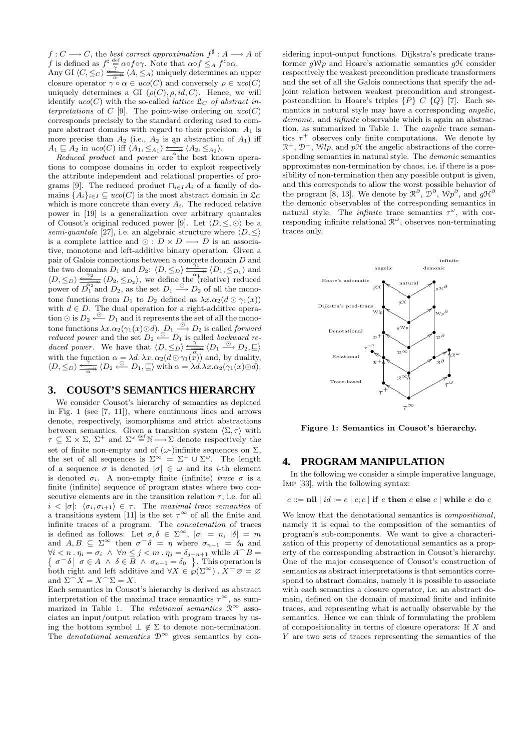$f: C \longrightarrow C$ , the best correct approximation  $f^{\sharp}: A \longrightarrow A$  of f is defined as  $f^{\sharp} \stackrel{\text{def}}{=} \alpha \circ f \circ \gamma$ . Note that  $\alpha \circ f \leq_A f^{\sharp} \circ \alpha$ .

Any GI  $\langle C, \leq_C \rangle \frac{\gamma}{\alpha} \frac{\lambda}{\alpha} \langle A, \leq_A \rangle$  uniquely determines an upper closure operator  $\gamma \circ \alpha \in uco(C)$  and conversely  $\rho \in uco(C)$ uniquely determines a GI  $(\rho(C), \rho, id, C)$ . Hence, we will identify  $uco(C)$  with the so-called *lattice*  $\mathcal{L}_C$  of abstract interpretations of  $C$  [9]. The point-wise ordering on  $uco(C)$ corresponds precisely to the standard ordering used to compare abstract domains with regard to their precision:  $A_1$  is more precise than  $A_2$  (i.e.,  $A_2$  is an abstraction of  $A_1$ ) iff  $A_1 \subseteq A_2$  in uco(C) iff  $\langle A_1, \leq_{A_1} \rangle \xrightarrow[\alpha]{\gamma} \langle A_2, \leq_{A_2} \rangle$ .

Reduced product and power are the best known operations to compose domains in order to exploit respectively the attribute independent and relational properties of programs [9]. The reduced product  $\prod_{i\in I}A_i$  of a family of domains  $\{A_i\}_{i\in I}\subseteq uco(C)$  is the most abstract domain in  $\mathfrak{L}_C$ which is more concrete than every  $A_i$ . The reduced relative power in [19] is a generalization over arbitrary quantales of Cousot's original reduced power [9]. Let  $\langle D, \leq, \odot \rangle$  be a semi-quantale [27], i.e. an algebraic structure where  $\langle D, \leq \rangle$ is a complete lattice and  $\odot$  :  $D \times D \longrightarrow D$  is an associative, monotone and left-additive binary operation. Given a pair of Galois connections between a concrete domain  $D$  and the two domains D<sub>1</sub> and D<sub>2</sub>:  $\langle D, \leq_D \rangle \frac{4}{\sqrt{2}} \langle D_1, \leq_{D_1} \rangle$  and  $\langle D, \leq_D \rangle \frac{\gamma_2}{\sqrt{2}} \langle D_2, \leq_{D_2} \rangle$ , we define the (relative) reduced power of  $\overline{D_1^2}$  and  $\overline{D_2}$ , as the set  $\overline{D_1} \stackrel{\circ}{\longrightarrow} \overline{D_2}$  of all the monotone functions from  $D_1$  to  $D_2$  defined as  $\lambda x.\alpha_2(d \odot \gamma_1(x))$ with  $d \in D$ . The dual operation for a right-additive operation  $\odot$  is  $D_2 \stackrel{\odot}{\leftarrow} D_1$  and it represents the set of all the monotone functions  $\lambda x.\alpha_2(\gamma_1(x) \odot d)$ .  $D_1 \stackrel{\odot}{\longrightarrow} D_2$  is called *forward* reduced power and the set  $D_2 \stackrel{\odot}{\leftarrow} D_1$  is called backward reduced power. We have that  $\langle D, \leq_D \rangle \frac{\frac{N}{N}}{\sqrt{N}} \langle D_1 \stackrel{\odot}{\longrightarrow} D_2, \subseteq \rangle$ with the function  $\alpha = \lambda d$ .  $\lambda x$ .  $\alpha_2(d \odot \gamma_1(\mathbf{x}))$  and, by duality,  $\langle D, \leq_D \rangle \xrightarrow[\alpha \rightarrow \infty]{\gamma} \langle D_2 \leftarrow D_1, \subseteq \rangle$  with  $\alpha = \lambda d. \lambda x. \alpha_2(\gamma_1(x) \odot d).$ 

#### **3. COUSOT'S SEMANTICS HIERARCHY**

We consider Cousot's hierarchy of semantics as depicted in Fig. 1 (see [7, 11]), where continuous lines and arrows denote, respectively, isomorphisms and strict abstractions between semantics. Given a transition system  $\langle \Sigma, \tau \rangle$  with  $\tau \subseteq \Sigma \times \Sigma$ ,  $\Sigma^+$  and  $\Sigma^{\omega} \stackrel{\text{def}}{=} \mathbb{N} \longrightarrow \Sigma$  denote respectively the set of finite non-empty and of  $(\omega)$ infinite sequences on  $\Sigma$ , the set of all sequences is  $\Sigma^{\infty} = \Sigma^+ \cup \Sigma^{\omega}$ . The length of a sequence  $\sigma$  is denoted  $|\sigma| \in \omega$  and its *i*-th element is denoted  $\sigma_i$ . A non-empty finite (infinite) trace  $\sigma$  is a finite (infinite) sequence of program states where two consecutive elements are in the transition relation  $\tau$ , i.e. for all  $i < |\sigma|$ :  $\langle \sigma_i, \sigma_{i+1} \rangle \in \tau$ . The maximal trace semantics of a transitions system [11] is the set  $\tau^{\infty}$  of all the finite and infinite traces of a program. The concatenation of traces is defined as follows: Let  $\sigma, \delta \in \Sigma^{\infty}$ ,  $|\sigma| = n$ ,  $|\delta| = m$ and  $A, B \subseteq \Sigma^{\infty}$  then  $\sigma^{\frown} \delta = \eta$  where  $\sigma_{n-1} = \delta_0$  and  $\forall i \leq n \cdot \eta_i = \sigma_i \ \land \ \forall n \leq j \leq m \cdot \eta_j = \delta_{j-n+1}$  while  $A^{\frown}$ ∤  $B =$  $\sigma^{\frown}\delta \mid \sigma \in A \land \delta \in B \land \sigma_{n-1} = \delta_0 \quad .$  This operation is both right and left additive and  $\forall X \in \wp(\Sigma^\infty)$ .  $X^\frown \varnothing = \varnothing$ and  $\Sigma \widehat{\phantom{\alpha}} X = X \widehat{\phantom{\alpha}} \Sigma = X.$ 

Each semantics in Cousot's hierarchy is derived as abstract interpretation of the maximal trace semantics  $\tau^{\infty}$ , as summarized in Table 1. The *relational semantics*  $\mathcal{R}^{\infty}$  associates an input/output relation with program traces by using the bottom symbol  $\perp \notin \Sigma$  to denote non-termination. The *denotational semantics*  $\mathcal{D}^{\infty}$  gives semantics by con-

sidering input-output functions. Dijkstra's predicate transformer  $gWp$  and Hoare's axiomatic semantics  $gH$  consider respectively the weakest precondition predicate transformers and the set of all the Galois connections that specify the adjoint relation between weakest precondition and strongestpostcondition in Hoare's triples  $\{P\}$  C  $\{Q\}$  [7]. Each semantics in natural style may have a corresponding angelic, demonic, and *infinite* observable which is again an abstraction, as summarized in Table 1. The angelic trace semantics  $\tau^+$  observes only finite computations. We denote by  $\mathbb{R}^+$ ,  $\mathbb{D}^+$ , Wlp, and pH the angelic abstractions of the corresponding semantics in natural style. The demonic semantics approximates non-termination by chaos, i.e. if there is a possibility of non-termination then any possible output is given, and this corresponds to allow the worst possible behavior of the program [8, 13]. We denote by  $\mathbb{R}^{\partial}$ ,  $\mathbb{D}^{\partial}$ ,  $\mathbb{W}p^{\partial}$ , and  $g\mathcal{H}^{\partial}$ the demonic observables of the corresponding semantics in natural style. The *infinite* trace semantics  $\tau^{\omega}$ , with corresponding infinite relational  $\mathbb{R}^{\omega}$ , observes non-terminating traces only.



Figure 1: Semantics in Cousot's hierarchy.

#### **4. PROGRAM MANIPULATION**

In the following we consider a simple imperative language, Imp [33], with the following syntax:

 $c ::= \textbf{nil} \mid id := e \mid c; c \mid \textbf{if} \ e \textbf{ then} \ c \textbf{ else} \ c \mid \textbf{while} \ e \textbf{ do} \ c$ 

We know that the denotational semantics is *compositional*, namely it is equal to the composition of the semantics of program's sub-components. We want to give a characterization of this property of denotational semantics as a property of the corresponding abstraction in Cousot's hierarchy. One of the major consequence of Cousot's construction of semantics as abstract interpretations is that semantics correspond to abstract domains, namely it is possible to associate with each semantics a closure operator, i.e. an abstract domain, defined on the domain of maximal finite and infinite traces, and representing what is actually observable by the semantics. Hence we can think of formulating the problem of compositionality in terms of closure operators: If X and Y are two sets of traces representing the semantics of the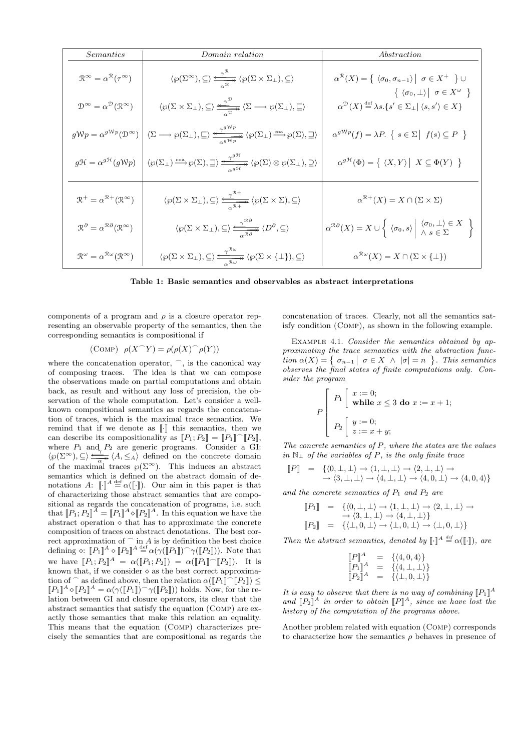| Semantics                                                                                                                     | Domain relation                                                                                                                                                                                                                                                                                                                                  | Abstraction                                                                                                                                                                                                                                                                                                                                                              |
|-------------------------------------------------------------------------------------------------------------------------------|--------------------------------------------------------------------------------------------------------------------------------------------------------------------------------------------------------------------------------------------------------------------------------------------------------------------------------------------------|--------------------------------------------------------------------------------------------------------------------------------------------------------------------------------------------------------------------------------------------------------------------------------------------------------------------------------------------------------------------------|
| $\mathcal{R}^\infty = \alpha^\mathcal{R}(\tau^\infty)$<br>$\mathcal{D}^{\infty} = \alpha^{\mathcal{D}}(\mathcal{R}^{\infty})$ | $\langle \wp(\Sigma^{\infty}), \subseteq \rangle \xrightarrow[\alpha^{\mathcal{R}}] {\langle \wp(\Sigma \times \Sigma_{\perp}), \subseteq \rangle}$<br>$\langle \wp(\Sigma \times \Sigma_{\perp}), \subseteq \rangle \xrightarrow{\sim} \frac{\gamma^{\mathcal{D}}}{\sim} \langle \Sigma \longrightarrow \wp(\Sigma_{\perp}), \subseteq \rangle$ | $\alpha^{\mathcal{R}}(X)=\left\{\right. \left\langle \sigma_{0},\sigma_{n-1}\right\rangle \left. \right  \,\,\sigma\in X^{+}\,\,\left. \right\} \cup$<br>$\{ \langle \sigma_0, \perp \rangle \mid \sigma \in X^{\omega} \}$<br>$\alpha^{\mathcal{D}}(X) \ensuremath{\stackrel{\textup{def}}{=}} \lambda s.\{s' \in \Sigma_\bot  \left\langle s, s'\right\rangle \in X\}$ |
| $g\mathcal{W}p = \alpha^{g\mathcal{W}p}(\mathcal{D}^{\infty})$                                                                | $\langle \Sigma \longrightarrow \wp(\Sigma_{\perp}), \sqsubseteq \rangle \xrightarrow[\alpha^{g \mathcal{W}p}]{\gamma^{g \mathcal{W}p}} \langle \wp(\Sigma_{\perp}) \xrightarrow{\text{coa}} \wp(\Sigma), \sqsupseteq \rangle$                                                                                                                   | $\alpha^{g\mathcal{W}p}(f) = \lambda P. \{ s \in \Sigma \mid f(s) \subseteq P \}$                                                                                                                                                                                                                                                                                        |
| $g\mathcal{H} = \alpha^{g\mathcal{H}}(g\mathcal{W}p)$                                                                         | $\langle \wp(\Sigma_{\perp}) \xrightarrow{\text{coa}} \wp(\Sigma), \underline{\square} \rangle \xrightarrow[\sim]{\omega^{g\mathfrak{R}}} \langle \wp(\Sigma) \otimes \wp(\Sigma_{\perp}), \underline{\square} \rangle$                                                                                                                          | $\alpha^{g{\mathcal H}}(\Phi) = \big\{ \ \langle X,Y\rangle \ \big\vert \ X\subseteq \Phi(Y) \ \ \big\}$                                                                                                                                                                                                                                                                 |
| $\mathcal{R}^+ = \alpha^{\mathcal{R}+}(\mathcal{R}^\infty)$                                                                   | $\langle \wp(\Sigma \times \Sigma_\bot), \subseteq \rangle \xrightarrow[\alpha^{\mathcal{R}+}]{\gamma^{\mathcal{R}+}} \langle \wp(\Sigma \times \Sigma), \subseteq \rangle$                                                                                                                                                                      | $\alpha^{\mathcal{R}+}(X) = X \cap (\Sigma \times \Sigma)$                                                                                                                                                                                                                                                                                                               |
| $\mathcal{R}^\partial = \alpha^{\mathcal{R}\partial}(\mathcal{R}^\infty)$                                                     | $\langle \wp(\Sigma \times \Sigma_{\perp}), \subseteq \rangle \xrightarrow[\alpha^{\mathcal{R}\partial}]{\gamma^{\mathcal{R}\partial}} \langle D^{\partial}, \subseteq \rangle$                                                                                                                                                                  | $\alpha^{\mathcal{R}\partial}(X) = X \cup \left\{ \left  \langle \sigma_0, s \rangle \right  \left  \begin{array}{l} \langle \sigma_0, \perp \rangle \in X \\ \wedge s \in \Sigma \end{array} \right  \right\}$                                                                                                                                                          |
| $\mathcal{R}^{\omega} = \alpha^{\mathcal{R}\omega}(\mathcal{R}^{\infty})$                                                     | $\langle \wp(\Sigma \times \Sigma_{\perp}), \subseteq \rangle \xrightarrow{\gamma^{\mathcal{R}\omega}} \langle \wp(\Sigma \times {\{\perp\}}), \subseteq \rangle$                                                                                                                                                                                | $\alpha^{\mathcal{R}\omega}(X) = X \cap (\Sigma \times {\{\perp\}})$                                                                                                                                                                                                                                                                                                     |

Table 1: Basic semantics and observables as abstract interpretations

components of a program and  $\rho$  is a closure operator representing an observable property of the semantics, then the corresponding semantics is compositional if

$$
(\text{COMP}) \ \ \rho(X \cap Y) = \rho(\rho(X) \cap \rho(Y))
$$

where the concatenation operator,  $\widehat{\phantom{a}}$ , is the canonical way of composing traces. The idea is that we can compose the observations made on partial computations and obtain back, as result and without any loss of precision, the observation of the whole computation. Let's consider a wellknown compositional semantics as regards the concatenation of traces, which is the maximal trace semantics. We remind that if we denote as  $\lbrack \cdot \rbrack$  this semantics, then we can describe its compositionality as  $[P_1; P_2] = [P_1] \cap [P_2]$ , where  $P_1$  and  $P_2$  are generic programs. Consider a GI:  $\langle \wp(\Sigma^{\infty}), \subseteq \rangle \xrightarrow[\alpha \to \infty]{\longrightarrow} \langle A, \leq_A \rangle$  defined on the concrete domain of the maximal traces  $\wp(\Sigma^{\infty})$ . This induces an abstract semantics which is defined on the abstract domain of denotations A:  $\llbracket \cdot \rrbracket^A \stackrel{\text{def}}{=} \alpha(\llbracket \cdot \rrbracket)$ . Our aim in this paper is that of characterizing those abstract semantics that are compositional as regards the concatenation of programs, i.e. such that  $[P_1; P_2]^{\widetilde{A}} = [P_1]^A \circ [P_2]^A$ . In this equation we have the abstract operation  $\circ$  that has to approximate the concrete composition of traces on abstract denotations. The best correct approximation of  $\widehat{\phantom{a}}$  in A is by definition the best choice defining  $\circ: [P_1]^A \circ [P_2]^A \stackrel{\text{def}}{=} \alpha(\gamma([P_1]) \cap \gamma([P_2]))$ . Note that we have  $[P_1; P_2]^A = \alpha([P_1; P_2]) = \alpha([P_1] \cap [P_2])$ . It is known that, if we consider  $\diamond$  as the best correct approximation of  $\widehat{\phantom{a}}$  as defined above, then the relation  $\alpha(\llbracket P_1 \rrbracket \widehat{\phantom{a}} \llbracket P_2 \rrbracket) \leq$  $[|P_1|^A \diamond [P_2]^A = \alpha(\gamma([P_1]) \cap \gamma([P_2]))$  holds. Now, for the relation between GI and closure operators, its clear that the abstract semantics that satisfy the equation (Comp) are exactly those semantics that make this relation an equality. This means that the equation (Comp) characterizes precisely the semantics that are compositional as regards the

concatenation of traces. Clearly, not all the semantics satisfy condition (Comp), as shown in the following example.

EXAMPLE 4.1. Consider the semantics obtained by approximating the trace semantics with the abstraction function  $\alpha(X) = \left\{ \sigma_{n-1} \mid \sigma \in X \land |\sigma| = n \right\}$ . This semantics observes the final states of finite computations only. Consider the program

$$
P\left[\begin{array}{l}\nP_1\left[\begin{array}{l}\nx := 0; \\
\text{while } x \le 3 \text{ do } x := x + 1; \\
P_2\left[\begin{array}{l}\ny := 0; \\
z := x + y;\n\end{array}\right.\n\end{array}\right.\right]
$$

The concrete semantics of P, where the states are the values in  $N_$ ⊥ of the variables of P, is the only finite trace

$$
\begin{array}{lll} \llbracket P \rrbracket & = & \{ \langle 0, \bot, \bot \rangle \to \langle 1, \bot, \bot \rangle \to \langle 2, \bot, \bot \rangle \to \\ & \to \langle 3, \bot, \bot \rangle \to \langle 4, \bot, \bot \rangle \to \langle 4, 0, \bot \rangle \to \langle 4, 0, 4 \rangle \} \end{array}
$$

and the concrete semantics of  $P_1$  and  $P_2$  are

$$
\begin{array}{lll} \llbracket P_1 \rrbracket & = & \{ \langle 0, \bot, \bot \rangle \to \langle 1, \bot, \bot \rangle \to \langle 2, \bot, \bot \rangle \to \\ & \to \langle 3, \bot, \bot \rangle \to \langle 4, \bot, \bot \rangle \} \\ \llbracket P_2 \rrbracket & = & \{ \langle \bot, 0, \bot \rangle \to \langle \bot, 0, \bot \rangle \to \langle \bot, 0, \bot \rangle \} \end{array}
$$

Then the abstract semantics, denoted by  $\llbracket \cdot \rrbracket^A \stackrel{\text{def}}{=} \alpha(\llbracket \cdot \rrbracket)$ , are

$$
\begin{array}{lll} \llbracket P \rrbracket^A & = & \{ \langle 4, 0, 4 \rangle \} \\ \llbracket P_1 \rrbracket^A & = & \{ \langle 4, \bot, \bot \rangle \} \\ \llbracket P_2 \rrbracket^A & = & \{ \langle \bot, 0, \bot \rangle \} \end{array}
$$

It is easy to observe that there is no way of combining  $[|P_1|^A$ and  $[P_2]^A$  in order to obtain  $[|P|^A$ , since we have lost the history of the computation of the programs above.

Another problem related with equation (Comp) corresponds to characterize how the semantics  $\rho$  behaves in presence of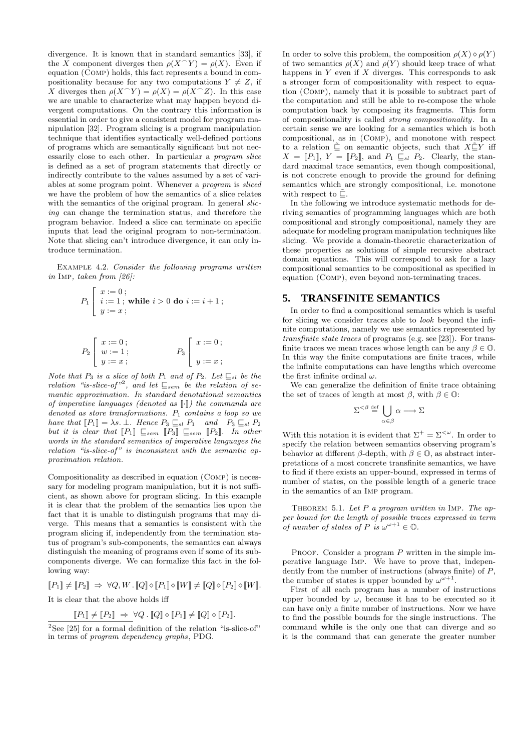divergence. It is known that in standard semantics [33], if the X component diverges then  $\rho(X \cap Y) = \rho(X)$ . Even if equation (Comp) holds, this fact represents a bound in compositionality because for any two computations  $Y \neq Z$ , if X diverges then  $\rho(X \cap Y) = \rho(X) = \rho(X \cap Z)$ . In this case we are unable to characterize what may happen beyond divergent computations. On the contrary this information is essential in order to give a consistent model for program manipulation [32]. Program slicing is a program manipulation technique that identifies syntactically well-defined portions of programs which are semantically significant but not necessarily close to each other. In particular a program slice is defined as a set of program statements that directly or indirectly contribute to the values assumed by a set of variables at some program point. Whenever a program is sliced we have the problem of how the semantics of a slice relates with the semantics of the original program. In general *slic*ing can change the termination status, and therefore the program behavior. Indeed a slice can terminate on specific inputs that lead the original program to non-termination. Note that slicing can't introduce divergence, it can only introduce termination.

Example 4.2. Consider the following programs written in Imp, taken from [26]:

$$
P_1\begin{bmatrix} x := 0; \\ i := 1; \text{ while } i > 0 \text{ do } i := i + 1; \\ y := x; \end{bmatrix}
$$

$$
P_2\begin{bmatrix} x := 0; \\ w := 1; \\ y := x; \end{bmatrix} \qquad P_3\begin{bmatrix} x := 0; \\ y := x; \end{bmatrix}
$$

Note that  $P_3$  is a slice of both  $P_1$  and of  $P_2$ . Let  $\subseteq_{sl}$  be the relation "is-slice-of"<sup>2</sup>, and let  $\mathcal{L}_{sem}$  be the relation of semantic approximation. In standard denotational semantics of imperative languages (denoted as  $[\cdot]$ ) the commands are denoted as store transformations.  $P_1$  contains a loop so we have that  $[P_1] = \lambda s$ . ⊥. Hence  $P_3 \sqsubseteq_{sl} P_1$  and  $P_3 \sqsubseteq_{sl} P_2$ but it is clear that  $\llbracket P_1 \rrbracket \subseteq_{sem} \llbracket P_3 \rrbracket \subseteq_{sem} \llbracket P_2 \rrbracket$ . In other words in the standard semantics of imperative languages the relation "is-slice-of" is inconsistent with the semantic approximation relation.

Compositionality as described in equation (Comp) is necessary for modeling program manipulation, but it is not sufficient, as shown above for program slicing. In this example it is clear that the problem of the semantics lies upon the fact that it is unable to distinguish programs that may diverge. This means that a semantics is consistent with the program slicing if, independently from the termination status of program's sub-components, the semantics can always distinguish the meaning of programs even if some of its subcomponents diverge. We can formalize this fact in the following way:

 $\llbracket P_1 \rrbracket \neq \llbracket P_2 \rrbracket \;\Rightarrow\; \forall Q, W \, . \, \llbracket Q \rrbracket \diamond \llbracket P_1 \rrbracket \diamond \llbracket W \rrbracket \neq \llbracket Q \rrbracket \diamond \llbracket P_2 \rrbracket \diamond \llbracket W \rrbracket.$ 

It is clear that the above holds iff

 $\llbracket P_1 \rrbracket \neq \llbracket P_2 \rrbracket \Rightarrow \forall Q \, . \, \llbracket Q \rrbracket \diamond \llbracket P_1 \rrbracket \neq \llbracket Q \rrbracket \diamond \llbracket P_2 \rrbracket.$ 

In order to solve this problem, the composition  $\rho(X) \diamond \rho(Y)$ of two semantics  $\rho(X)$  and  $\rho(Y)$  should keep trace of what happens in  $Y$  even if  $X$  diverges. This corresponds to ask a stronger form of compositionality with respect to equation (Comp), namely that it is possible to subtract part of the computation and still be able to re-compose the whole computation back by composing its fragments. This form of compositionality is called strong compositionality. In a certain sense we are looking for a semantics which is both compositional, as in (Comp), and monotone with respect to a relation  $\Gamma$  on semantic objects, such that  $X\Gamma Y$  iff  $X = [P_1], Y = [P_2],$  and  $P_1 \subseteq_{sl} P_2$ . Clearly, the standard maximal trace semantics, even though compositional, is not concrete enough to provide the ground for defining semantics which are strongly compositional, i.e. monotone with respect to  $\tilde{\mathbb{C}}$ .

In the following we introduce systematic methods for deriving semantics of programming languages which are both compositional and strongly compositional, namely they are adequate for modeling program manipulation techniques like slicing. We provide a domain-theoretic characterization of these properties as solutions of simple recursive abstract domain equations. This will correspond to ask for a lazy compositional semantics to be compositional as specified in equation (Comp), even beyond non-terminating traces.

#### **5. TRANSFINITE SEMANTICS**

In order to find a compositional semantics which is useful for slicing we consider traces able to look beyond the infinite computations, namely we use semantics represented by transfinite state traces of programs (e.g. see [23]). For transfinite traces we mean traces whose length can be any  $\beta \in \mathbb{O}$ . In this way the finite computations are finite traces, while the infinite computations can have lengths which overcome the first infinite ordinal  $\omega$ .

We can generalize the definition of finite trace obtaining the set of traces of length at most  $\beta$ , with  $\beta \in \mathbb{O}$ :

$$
\Sigma^{<\beta}\stackrel{\mathrm{def}}{=}\bigcup_{\alpha\in\beta}\alpha\longrightarrow\Sigma
$$

With this notation it is evident that  $\Sigma^+ = \Sigma^{<\omega}$ . In order to specify the relation between semantics observing program's behavior at different  $\beta$ -depth, with  $\beta \in \mathbb{O}$ , as abstract interpretations of a most concrete transfinite semantics, we have to find if there exists an upper-bound, expressed in terms of number of states, on the possible length of a generic trace in the semantics of an Imp program.

THEOREM 5.1. Let  $P$  a program written in IMP. The upper bound for the length of possible traces expressed in term of number of states of P is  $\omega^{\omega+1} \in \mathbb{O}$ .

PROOF. Consider a program  $P$  written in the simple imperative language Imp. We have to prove that, independently from the number of instructions (always finite) of P, the number of states is upper bounded by  $\omega^{\omega+1}$ .

First of all each program has a number of instructions upper bounded by  $\omega$ , because it has to be executed so it can have only a finite number of instructions. Now we have to find the possible bounds for the single instructions. The command while is the only one that can diverge and so it is the command that can generate the greater number

 $2$ See [25] for a formal definition of the relation "is-slice-of" in terms of program dependency graphs, PDG.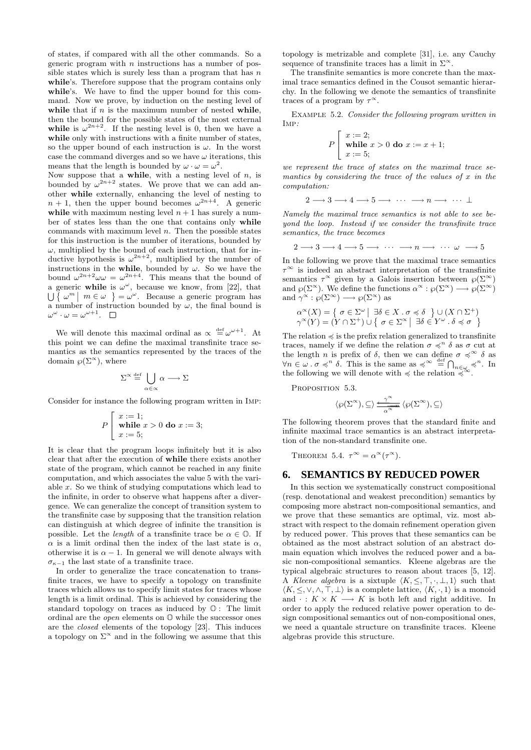of states, if compared with all the other commands. So a generic program with  $n$  instructions has a number of possible states which is surely less than a program that has  $n$ while's. Therefore suppose that the program contains only while's. We have to find the upper bound for this command. Now we prove, by induction on the nesting level of while that if  $n$  is the maximum number of nested while, then the bound for the possible states of the most external while is  $\omega^{2n+2}$ . If the nesting level is 0, then we have a while only with instructions with a finite number of states, so the upper bound of each instruction is  $\omega$ . In the worst case the command diverges and so we have  $\omega$  iterations, this means that the length is bounded by  $\omega \cdot \omega = \omega^2$ .

Now suppose that a **while**, with a nesting level of n, is bounded by  $\omega^{2n+2}$  states. We prove that we can add another while externally, enhancing the level of nesting to  $n + 1$ , then the upper bound becomes  $\omega^{2n+4}$ . A generic while with maximum nesting level  $n + 1$  has surely a number of states less than the one that contains only while commands with maximum level  $n$ . Then the possible states for this instruction is the number of iterations, bounded by  $\omega$ , multiplied by the bound of each instruction, that for inductive hypothesis is  $\omega^{2n+2}$ , multiplied by the number of instructions in the while, bounded by  $\omega$ . So we have the bound  $\omega^{2n+2}\omega\omega = \omega^{2n+4}$ . This means that the bound of a generic while is  $\omega^{\omega}$ , because we know, from [22], that  $\bigcup \{\omega^m \mid m \in \omega\} = \omega^\omega$ . Because a generic program has a number of instruction bounded by  $\omega$ , the final bound is  $\omega^{\omega} \cdot \omega = \omega^{\omega+1}.$ 

We will denote this maximal ordinal as  $\alpha \stackrel{\text{def}}{=} \omega^{\omega+1}$ . At this point we can define the maximal transfinite trace semantics as the semantics represented by the traces of the domain  $\wp(\Sigma^{\infty})$ , where

$$
\Sigma^{\infty} \stackrel{\text{def}}{=} \bigcup_{\alpha \in \alpha} \alpha \longrightarrow \Sigma
$$

Consider for instance the following program written in Imp:

$$
P\left[\begin{array}{l} x := 1; \\ \text{while } x > 0 \text{ do } x := 3; \\ x := 5; \end{array}\right]
$$

It is clear that the program loops infinitely but it is also clear that after the execution of while there exists another state of the program, which cannot be reached in any finite computation, and which associates the value 5 with the variable x. So we think of studying computations which lead to the infinite, in order to observe what happens after a divergence. We can generalize the concept of transition system to the transfinite case by supposing that the transition relation can distinguish at which degree of infinite the transition is possible. Let the *length* of a transfinite trace be  $\alpha \in \mathbb{O}$ . If  $\alpha$  is a limit ordinal then the index of the last state is  $\alpha$ . otherwise it is  $\alpha - 1$ . In general we will denote always with  $\sigma_{\kappa-1}$  the last state of a transfinite trace.

In order to generalize the trace concatenation to transfinite traces, we have to specify a topology on transfinite traces which allows us to specify limit states for traces whose length is a limit ordinal. This is achieved by considering the standard topology on traces as induced by O : The limit ordinal are the open elements on O while the successor ones are the closed elements of the topology [23]. This induces a topology on  $\Sigma^{\infty}$  and in the following we assume that this

topology is metrizable and complete [31], i.e. any Cauchy sequence of transfinite traces has a limit in  $\Sigma^{\infty}$ .

The transfinite semantics is more concrete than the maximal trace semantics defined in the Cousot semantic hierarchy. In the following we denote the semantics of transfinite traces of a program by  $\tau^{\infty}$ .

Example 5.2. Consider the following program written in Imp:

$$
P\left[\begin{array}{l} x := 2; \\ \text{while } x > 0 \text{ do } x := x + 1; \\ x := 5; \end{array}\right]
$$

we represent the trace of states on the maximal trace semantics by considering the trace of the values of  $x$  in the computation:

$$
2 \longrightarrow 3 \longrightarrow 4 \longrightarrow 5 \longrightarrow \cdots \longrightarrow n \longrightarrow \cdots \perp
$$

Namely the maximal trace semantics is not able to see beyond the loop. Instead if we consider the transfinite trace semantics, the trace becomes

$$
2 \longrightarrow 3 \longrightarrow 4 \longrightarrow 5 \longrightarrow \cdots \longrightarrow n \longrightarrow \cdots \omega \longrightarrow 5
$$

In the following we prove that the maximal trace semantics  $\tau^{\infty}$  is indeed an abstract interpretation of the transfinite semantics  $\tau^{\infty}$  given by a Galois insertion between  $\wp(\Sigma^{\infty})$ and  $\wp(\Sigma^{\infty})$ . We define the functions  $\alpha^{\infty} : \wp(\Sigma^{\infty}) \longrightarrow \wp(\Sigma^{\infty})$ and  $\gamma^{\alpha} : \wp(\Sigma^{\infty}) \longrightarrow \wp(\Sigma^{\infty})$  as

$$
\alpha^{\infty}(X) = \left\{ \begin{array}{c} \sigma \in \Sigma^{\omega} \mid \exists \delta \in X \, . \, \sigma \preccurlyeq \delta \end{array} \right\} \cup (X \cap \Sigma^{+})
$$
  

$$
\gamma^{\infty}(Y) = (Y \cap \Sigma^{+}) \cup \left\{ \begin{array}{c} \sigma \in \Sigma^{\infty} \mid \exists \delta \in Y^{\omega} \, . \, \delta \preccurlyeq \sigma \end{array} \right\}
$$

The relation  $\preccurlyeq$  is the prefix relation generalized to transfinite traces, namely if we define the relation  $\sigma \preccurlyeq^n \delta$  as  $\sigma$  cut at the length n is prefix of  $\delta$ , then we can define  $\sigma \preccurlyeq^{\infty} \delta$  as  $\forall n \in \omega \, \ldots \, \sigma \preccurlyeq^n \delta$ . This is the same as  $\preccurlyeq^{\infty} \stackrel{\text{def}}{=} \bigcap_{n \in \omega} \preccurlyeq^n$ . In the following we will denote with  $\preccurlyeq$  the relation  $\preccurlyeq^{\infty}$ . the following we will denote with  $\preccurlyeq$  the relation  $\preccurlyeq$ 

PROPOSITION 5.3.

$$
\langle \wp(\Sigma^{\infty}), \subseteq \rangle \xrightarrow[\alpha^{\infty}]{} \langle \wp(\Sigma^{\infty}), \subseteq \rangle
$$

The following theorem proves that the standard finite and infinite maximal trace semantics is an abstract interpretation of the non-standard transfinite one.

THEOREM 5.4.  $\tau^{\infty} = \alpha^{\infty}(\tau^{\infty})$ .

## **6. SEMANTICS BY REDUCED POWER**

In this section we systematically construct compositional (resp. denotational and weakest precondition) semantics by composing more abstract non-compositional semantics, and we prove that these semantics are optimal, viz. most abstract with respect to the domain refinement operation given by reduced power. This proves that these semantics can be obtained as the most abstract solution of an abstract domain equation which involves the reduced power and a basic non-compositional semantics. Kleene algebras are the typical algebraic structures to reason about traces [5, 12]. A Kleene algebra is a sixtuple  $\langle K, \leq, \top, \cdot, \bot, 1 \rangle$  such that  $\langle K, \leq, \vee, \wedge, \top, \bot \rangle$  is a complete lattice,  $\langle K, \cdot, 1 \rangle$  is a monoid and  $\cdot : K \times K \longrightarrow K$  is both left and right additive. In order to apply the reduced relative power operation to design compositional semantics out of non-compositional ones, we need a quantale structure on transfinite traces. Kleene algebras provide this structure.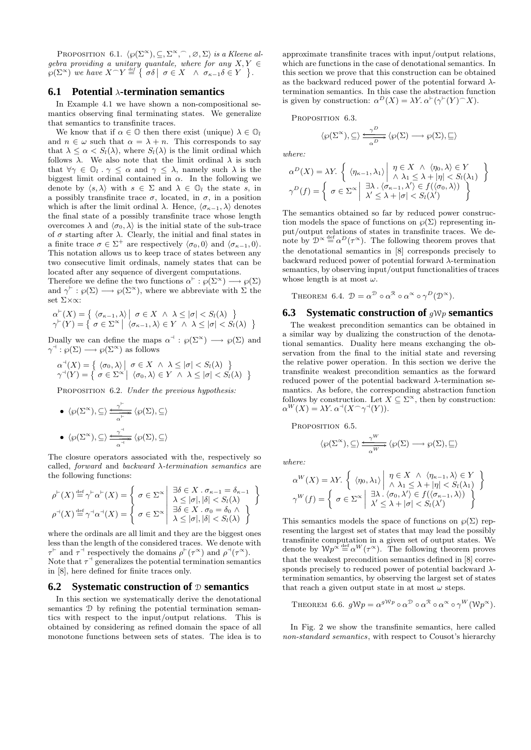PROPOSITION 6.1.  $\langle \wp(\Sigma^\infty), \subseteq, \Sigma^\infty, \widehat{\ }$ ,  $\varnothing, \Sigma \rangle$  is a Kleene algebra providing a unitary quantale, where for any  $X, Y \in$  $\wp(\Sigma^{\infty})$  we have  $X \cap Y \stackrel{\text{def}}{=} \left\{ \sigma \delta \mid \sigma \in X \quad \wedge \sigma_{\kappa-1} \delta \in Y \right\}.$ 

#### **6.1 Potential** λ**-termination semantics**

In Example 4.1 we have shown a non-compositional semantics observing final terminating states. We generalize that semantics to transfinite traces.

We know that if  $\alpha \in \mathbb{O}$  then there exist (unique)  $\lambda \in \mathbb{O}_l$ and  $n \in \omega$  such that  $\alpha = \lambda + n$ . This corresponds to say that  $\lambda \leq \alpha < S_l(\lambda)$ , where  $S_l(\lambda)$  is the limit ordinal which follows  $\lambda$ . We also note that the limit ordinal  $\lambda$  is such that  $\forall \gamma \in \mathbb{O}_l \cdot \gamma \leq \alpha$  and  $\gamma \leq \lambda$ , namely such  $\lambda$  is the biggest limit ordinal contained in  $\alpha$ . In the following we denote by  $\langle s, \lambda \rangle$  with  $s \in \Sigma$  and  $\lambda \in \mathbb{O}_l$  the state s, in a possibly transfinite trace  $\sigma$ , located, in  $\sigma$ , in a position which is after the limit ordinal  $\lambda$ . Hence,  $\langle \sigma_{\kappa-1}, \lambda \rangle$  denotes the final state of a possibly transfinite trace whose length overcomes  $\lambda$  and  $\langle \sigma_0, \lambda \rangle$  is the initial state of the sub-trace of  $\sigma$  starting after  $\lambda$ . Clearly, the initial and final states in a finite trace  $\sigma \in \Sigma^+$  are respectively  $\langle \sigma_0, 0 \rangle$  and  $\langle \sigma_{\kappa-1}, 0 \rangle$ . This notation allows us to keep trace of states between any two consecutive limit ordinals, namely states that can be located after any sequence of divergent computations.

Therefore we define the two functions  $\alpha^{\vdash} : \rho(\Sigma^{\infty}) \longrightarrow \rho(\Sigma)$ and  $\gamma^{\vdash} : \wp(\Sigma) \longrightarrow \wp(\Sigma^{\infty})$ , where we abbreviate with  $\Sigma$  the set Σ×∝:

$$
\alpha^{\vdash}(X) = \left\{ \begin{array}{l} \langle \sigma_{\kappa-1}, \lambda \rangle \mid \sigma \in X \ \land \ \lambda \leq |\sigma| < S_l(\lambda) \\ \gamma^{\vdash}(Y) = \left\{ \begin{array}{l} \sigma \in \Sigma^{\infty} \mid \langle \sigma_{\kappa-1}, \lambda \rangle \in Y \ \land \ \lambda \leq |\sigma| < S_l(\lambda) \end{array} \right\} \end{array} \right\}
$$

Dually we can define the maps  $\alpha^{\dashv} : \varphi(\Sigma^{\infty}) \longrightarrow \varphi(\Sigma)$  and  $\gamma^{\dashv} : \varrho(\Sigma) \longrightarrow \varrho(\Sigma^{\infty})$  as follows

$$
\alpha^{\dashv}(X) = \left\{ \begin{array}{l} \langle \sigma_0, \lambda \rangle \mid \sigma \in X \ \land \ \lambda \leq |\sigma| < S_l(\lambda) \\ \gamma^{\dashv}(Y) = \left\{ \begin{array}{l} \sigma \in \Sigma^{\infty} \mid \ \langle \sigma_0, \lambda \rangle \in Y \ \land \ \lambda \leq |\sigma| < S_l(\lambda) \end{array} \right\} \end{array} \right\}
$$

PROPOSITION 6.2. Under the previous hypothesis:

\n- \n
$$
\langle \wp(\Sigma^{\infty}), \subseteq \rangle \xrightarrow[\alpha^{\leftarrow}]{\gamma^{\leftarrow}} \langle \wp(\Sigma), \subseteq \rangle
$$
\n
\n- \n
$$
\langle \wp(\Sigma^{\infty}), \subseteq \rangle \xrightarrow[\alpha^{\leftarrow}]{\gamma^{\leftarrow}} \langle \wp(\Sigma), \subseteq \rangle
$$
\n
\n

The closure operators associated with the, respectively so called, forward and backward  $\lambda$ -termination semantics are the following functions:

$$
\rho^{\vdash}(X) \stackrel{\text{def}}{=} \gamma^{\vdash}\alpha^{\vdash}(X) = \left\{ \begin{array}{c} \sigma \in \Sigma^{\infty} \middle| \begin{array}{c} \exists \delta \in X \ . \ \sigma_{\kappa-1} = \delta_{\kappa-1} \\ \lambda \leq |\sigma|, |\delta| < S_l(\lambda) \end{array} \right\} \\ \rho^{\dashv}(X) \stackrel{\text{def}}{=} \gamma^{\dashv}\alpha^{\dashv}(X) = \left\{ \begin{array}{c} \sigma \in \Sigma^{\infty} \middle| \begin{array}{c} \exists \delta \in X \ . \ \sigma_0 = \delta_0 \end{array} \wedge \lambda \leq |\sigma|, |\delta| < S_l(\lambda) \end{array} \right\}
$$

where the ordinals are all limit and they are the biggest ones less than the length of the considered traces. We denote with  $\tau^{\vdash}$  and  $\tau^{\dashv}$  respectively the domains  $\rho^{\vdash}(\tau^{\infty})$  and  $\rho^{\dashv}(\tau^{\infty})$ . Note that  $\tau^{\dagger}$  generalizes the potential termination semantics in [8], here defined for finite traces only.

#### **6.2 Systematic construction of** D **semantics**

In this section we systematically derive the denotational semantics D by refining the potential termination semantics with respect to the input/output relations. This is obtained by considering as refined domain the space of all monotone functions between sets of states. The idea is to approximate transfinite traces with input/output relations, which are functions in the case of denotational semantics. In this section we prove that this construction can be obtained as the backward reduced power of the potential forward  $\lambda$ termination semantics. In this case the abstraction function is given by construction:  $\alpha^D(X) = \lambda Y$ .  $\alpha^{\vdash}(\gamma^{\vdash}(Y)^{\frown}X)$ .

PROPOSITION 6.3.

$$
\langle \wp(\Sigma^\infty),\subseteq\rangle \xrightarrow[\alpha]{\gamma^D} \langle \wp(\Sigma)\longrightarrow \wp(\Sigma),\subseteq\rangle
$$

where:

$$
\alpha^{D}(X) = \lambda Y. \left\{ \left\langle \eta_{\kappa-1}, \lambda_1 \right\rangle \middle| \begin{array}{l} \eta \in X \ \land \ \langle \eta_0, \lambda \rangle \in Y \\ \land \ \lambda_1 \leq \lambda + |\eta| < S_l(\lambda_1) \end{array} \right\}
$$
\n
$$
\gamma^{D}(f) = \left\{ \begin{array}{l} \sigma \in \Sigma^{\infty} \middle| \begin{array}{l} \exists \lambda \cdot \langle \sigma_{\kappa-1}, \lambda' \rangle \in f(\langle \sigma_0, \lambda \rangle) \\ \lambda' \leq \lambda + |\sigma| < S_l(\lambda') \end{array} \right\}
$$

The semantics obtained so far by reduced power construction models the space of functions on  $\wp(\Sigma)$  representing input/output relations of states in transfinite traces. We denote by  $\mathcal{D}^{\infty} \stackrel{\text{def}}{=} \alpha^D(\tau^{\infty})$ . The following theorem proves that the denotational semantics in [8] corresponds precisely to backward reduced power of potential forward λ-termination semantics, by observing input/output functionalities of traces whose length is at most  $\omega$ .

THEOREM 6.4. 
$$
\mathcal{D} = \alpha^{\mathcal{D}} \circ \alpha^{\mathcal{R}} \circ \alpha^{\infty} \circ \gamma^D(\mathcal{D}^{\infty}).
$$

#### **6.3 Systematic construction of** gWp **semantics**

The weakest precondition semantics can be obtained in a similar way by dualizing the construction of the denotational semantics. Duality here means exchanging the observation from the final to the initial state and reversing the relative power operation. In this section we derive the transfinite weakest precondition semantics as the forward reduced power of the potential backward  $\lambda$ -termination semantics. As before, the corresponding abstraction function follows by construction. Let  $\overline{X} \subseteq \Sigma^{\infty}$ , then by construction:  $\alpha^W(X) = \lambda Y \cdot \alpha^{\dashv} (X \cap \gamma^{\dashv} (Y)).$ 

PROPOSITION 6.5.

$$
\langle \wp(\Sigma^\infty), \subseteq \rangle \xrightarrow[\alpha^{W}]{\gamma^{W}} \langle \wp(\Sigma) \longrightarrow \wp(\Sigma), \subseteq \rangle
$$

where:

$$
\alpha^{W}(X) = \lambda Y. \left\{ \langle \eta_{0}, \lambda_{1} \rangle \middle| \begin{array}{l} \eta \in X \ \land \ \langle \eta_{\kappa-1}, \lambda \rangle \in Y \\ \land \ \lambda_{1} \leq \lambda + |\eta| < S_{l}(\lambda_{1}) \end{array} \right\}
$$

$$
\gamma^{W}(f) = \left\{ \begin{array}{l} \sigma \in \Sigma^{\infty} \middle| \begin{array}{l} \exists \lambda \cdot \langle \sigma_{0}, \lambda' \rangle \in f(\langle \sigma_{\kappa-1}, \lambda \rangle) \\ \lambda' \leq \lambda + |\sigma| < S_{l}(\lambda') \end{array} \right\}
$$

This semantics models the space of functions on  $\wp(\Sigma)$  representing the largest set of states that may lead the possibly transfinite computation in a given set of output states. We denote by  $Wp^{\alpha} \stackrel{\text{def}}{=} \alpha^W(\tau^{\alpha})$ . The following theorem proves that the weakest precondition semantics defined in [8] corresponds precisely to reduced power of potential backward  $\lambda$ termination semantics, by observing the largest set of states that reach a given output state in at most  $\omega$  steps.

THEOREM 6.6.  $gWp = \alpha^{gWp} \circ \alpha^{\mathcal{D}} \circ \alpha^{\mathcal{R}} \circ \alpha^{\infty} \circ \gamma^W(\mathcal{W}p^{\infty}).$ 

In Fig. 2 we show the transfinite semantics, here called non-standard semantics, with respect to Cousot's hierarchy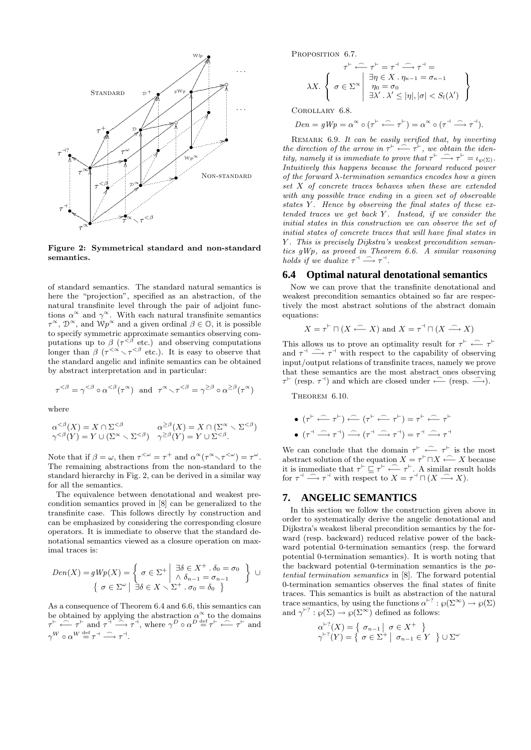

Figure 2: Symmetrical standard and non-standard semantics.

of standard semantics. The standard natural semantics is here the "projection", specified as an abstraction, of the natural transfinite level through the pair of adjoint functions  $\alpha^{\infty}$  and  $\gamma^{\infty}$ . With each natural transfinite semantics  $\tau^{\infty}$ ,  $\mathcal{D}^{\infty}$ , and  $\mathcal{W}p^{\infty}$  and a given ordinal  $\beta \in \mathbb{O}$ , it is possible to specify symmetric approximate semantics observing computations up to  $\beta$  ( $\tau^{<\beta}$  etc.) and observing computations longer than  $\beta$  ( $\tau^{<\alpha} \setminus \tau^{<\beta}$  etc.). It is easy to observe that the standard angelic and infinite semantics can be obtained by abstract interpretation and in particular:

$$
\tau^{<\beta} = \gamma^{<\beta} \circ \alpha^{<\beta}(\tau^{\infty}) \text{ and } \tau^{\infty} \setminus \tau^{<\beta} = \gamma^{\geq \beta} \circ \alpha^{\geq \beta}(\tau^{\infty})
$$

where

$$
\begin{array}{ll}\alpha^{<\beta}(X)=X\cap \Sigma^{<\beta}&\alpha^{\geq \beta}(X)=X\cap (\Sigma^{\infty}\smallsetminus \Sigma^{<\beta})\\ \gamma^{<\beta}(Y)=Y\cup (\Sigma^{\infty}\smallsetminus \Sigma^{<\beta})&\gamma^{\geq \beta}(Y)=Y\cup \Sigma^{<\beta}.\end{array}
$$

Note that if  $\beta = \omega$ , then  $\tau^{\langle \omega \rangle} = \tau^+$  and  $\alpha^{\alpha}(\tau^{\alpha} \setminus \tau^{\langle \omega \rangle}) = \tau^{\omega}$ . The remaining abstractions from the non-standard to the standard hierarchy in Fig. 2, can be derived in a similar way for all the semantics.

The equivalence between denotational and weakest precondition semantics proved in [8] can be generalized to the transfinite case. This follows directly by construction and can be emphasized by considering the corresponding closure operators. It is immediate to observe that the standard denotational semantics viewed as a closure operation on maximal traces is:

$$
Den(X) = gWp(X) = \left\{ \begin{array}{c} \sigma \in \Sigma^+ \middle| \begin{array}{c} \exists \delta \in X^+ \ . \ \delta_0 = \sigma_0 \\ \land \ \delta_{n-1} = \sigma_{n-1} \end{array} \right\} \ \cup \\ \left\{ \begin{array}{c} \sigma \in \Sigma^{\omega} \middle| \begin{array}{c} \exists \delta \in X \ \searrow \Sigma^+ \ . \ \sigma_0 = \delta_0 \end{array} \right\} \end{array} \right\}
$$

As a consequence of Theorem 6.4 and 6.6, this semantics can be obtained by applying the abstraction  $\alpha^{\infty}$  to the domains  $\tau^{\vdash} \stackrel{\frown}{\longleftarrow} \tau^{\vdash}$  and  $\tau^{\stackrel{\rightharpoonup}{\dashrightarrow}} \stackrel{\frown}{\longrightarrow} \tau^{\dashv}$ , where  $\gamma^D \circ \alpha^D \stackrel{\text{def}}{=} \tau^{\vdash} \stackrel{\frown}{\longleftarrow} \tau^{\vdash}$  and  $\gamma^W \circ \alpha^W \stackrel{\text{def}}{=} \tau^+ \stackrel{\frown}{\longrightarrow} \tau^+.$ 

PROPOSITION 6.7.

$$
\lambda X. \left\{ \begin{array}{c} \tau^{\vdash} \stackrel{\curvearrowleft}{\longleftarrow} \tau^{\vdash} = \tau^{\dashv} \stackrel{\curvearrowleft}{\longrightarrow} \tau^{\dashv} = \\ \exists \eta \in X \cdot \eta_{\kappa-1} = \sigma_{\kappa-1} \\ \eta_0 = \sigma_0 \\ \exists \lambda' \cdot \lambda' \leq |\eta|, |\sigma| < S_l(\lambda') \end{array} \right\}
$$

Corollary 6.8.

$$
Den = gWp = \alpha^{\infty} \circ (\tau^{\vdash} \stackrel{\frown}{\longleftarrow} \tau^{\vdash}) = \alpha^{\infty} \circ (\tau^{\dashv} \stackrel{\frown}{\longrightarrow} \tau^{\dashv}).
$$

REMARK 6.9. It can be easily verified that, by inverting the direction of the arrow in  $\tau^{\vdash} \leftarrow \tau^{\vdash}$ , we obtain the identity, namely it is immediate to prove that  $\tau^{\vdash} \longrightarrow \tau^{\vdash} = \iota_{\wp(\Sigma)}$ . Intuitively this happens because the forward reduced power of the forward  $\lambda$ -termination semantics encodes how a given set X of concrete traces behaves when these are extended with any possible trace ending in a given set of observable states Y. Hence by observing the final states of these extended traces we get back  $Y$ . Instead, if we consider the initial states in this construction we can observe the set of initial states of concrete traces that will have final states in Y. This is precisely Dijkstra's weakest precondition semantics gWp, as proved in Theorem 6.6. A similar reasoning holds if we dualize  $\tau^{\dashv} \longrightarrow \tau^{\dashv}$ .

#### **6.4 Optimal natural denotational semantics**

Now we can prove that the transfinite denotational and weakest precondition semantics obtained so far are respectively the most abstract solutions of the abstract domain equations:

$$
X = \tau^{\vdash} \sqcap (X \stackrel{\frown}{\longleftarrow} X) \text{ and } X = \tau^{\dashv} \sqcap (X \stackrel{\frown}{\longrightarrow} X)
$$

This allows us to prove an optimality result for  $\tau^{\vdash} \longleftarrow \tau^{\vdash}$ and  $\tau^{\dashv} \longrightarrow \tau^{\dashv}$  with respect to the capability of observing input/output relations of transfinite traces, namely we prove that these semantics are the most abstract ones observing  $\tau^{\vdash}$  (resp.  $\tau^{\dashv}$ ) and which are closed under  $\leftarrow$  (resp.  $\stackrel{\frown}{\longrightarrow}$ ).

THEOREM 6.10.

$$
\bullet \ \ (\tau^{\vdash} \stackrel{\frown}{\longleftrightarrow} \tau^{\vdash}) \stackrel{\frown}{\longleftrightarrow} (\tau^{\vdash} \stackrel{\frown}{\longleftrightarrow} \tau^{\vdash}) = \tau^{\vdash} \stackrel{\frown}{\longleftrightarrow} \tau^{\vdash}
$$
  

$$
\bullet \ \ (\tau^{\dashv} \stackrel{\frown}{\longrightarrow} \tau^{\dashv}) \stackrel{\frown}{\longrightarrow} (\tau^{\dashv} \stackrel{\frown}{\longrightarrow} \tau^{\dashv}) = \tau^{\dashv} \stackrel{\frown}{\longrightarrow} \tau^{\dashv}
$$

We can conclude that the domain  $\tau^{\vdash} \stackrel{\frown}{\longleftarrow} \tau^{\vdash}$  is the most abstract solution of the equation  $X = \tau^{\vdash} \sqcap X \stackrel{\frown}{\longleftarrow} X$  because it is immediate that  $\tau^{\vdash} \subseteq \tau^{\vdash} \longleftarrow \tau^{\vdash}$ . A similar result holds for  $\tau^{\dashv} \stackrel{\frown}{\longrightarrow} \tau^{\dashv}$  with respect to  $X = \tau^{\dashv} \sqcap (X \stackrel{\frown}{\longrightarrow} X)$ .

#### **7. ANGELIC SEMANTICS**

In this section we follow the construction given above in order to systematically derive the angelic denotational and Dijkstra's weakest liberal precondition semantics by the forward (resp. backward) reduced relative power of the backward potential 0-termination semantics (resp. the forward potential 0-termination semantics). It is worth noting that the backward potential 0-termination semantics is the potential termination semantics in [8]. The forward potential 0-termination semantics observes the final states of finite traces. This semantics is built as abstraction of the natural trace semantics, by using the functions  $\alpha^{\vdash ?} : \wp(\Sigma^{\infty}) \to \wp(\Sigma)$ and  $\gamma^{\vdash ?} : \wp(\Sigma) \to \wp(\Sigma^{\infty})$  defined as follows:

$$
\alpha^{+?}(X) = \left\{ \begin{array}{c} \sigma_{n-1} \mid \sigma \in X^+ \\ \gamma^{+?}(Y) = \left\{ \begin{array}{c} \sigma \in \Sigma^+ \mid \sigma_{n-1} \in Y \end{array} \right\} \cup \Sigma^\omega \end{array} \right.
$$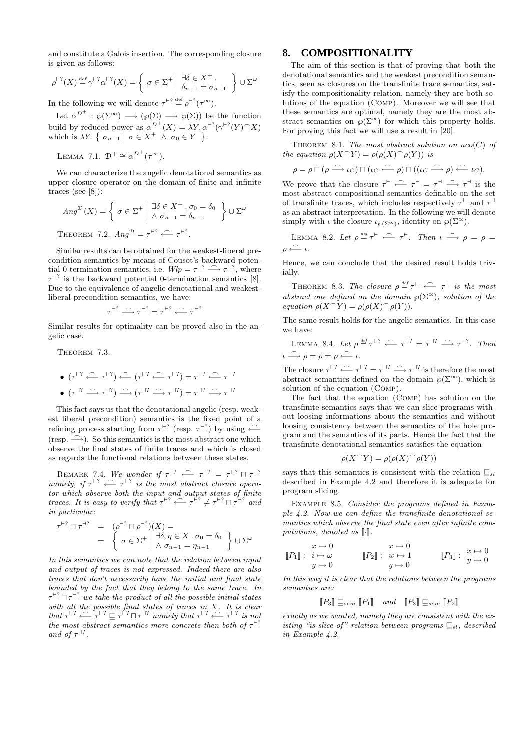and constitute a Galois insertion. The corresponding closure is given as follows:

$$
\rho^{\vdash ?}(X) \stackrel{\text{def}}{=} \gamma^{\vdash ?}\alpha^{\vdash ?}(X) = \left\{ \sigma \in \Sigma^+ \middle| \begin{array}{c} \exists \delta \in X^+ \\ \delta_{n-1} = \sigma_{n-1} \end{array} \right\} \cup \Sigma^\omega
$$

In the following we will denote  $\tau^{\vdash?} \stackrel{\text{def}}{=} \rho^{\vdash?}(\tau^{\infty})$ .

Let  $\alpha^{D^+} : \wp(\Sigma^{\infty}) \longrightarrow (\wp(\Sigma) \longrightarrow \wp(\Sigma))$  be the function build by reduced power as  $\alpha^{D^+}(X) = \lambda Y \cdot \alpha^{P^2}(\gamma^{P^2}(Y) \cap X)$ which is  $\lambda Y$ . {  $\sigma_{n-1}$  |  $\sigma \in X^+ \wedge \sigma_0 \in Y$  }.

LEMMA 7.1.  $\mathcal{D}^+ \cong \alpha^{D^+}(\tau^{\infty})$ .

We can characterize the angelic denotational semantics as upper closure operator on the domain of finite and infinite traces (see [8]):

$$
Ang^{\mathcal{D}}(X) = \left\{ \sigma \in \Sigma^+ \middle| \begin{array}{l} \exists \delta \in X^+ \cdot \sigma_0 = \delta_0 \\ \wedge \sigma_{n-1} = \delta_{n-1} \end{array} \right\} \cup \Sigma^{\omega}
$$
  
THEOREM 7.2.  $Ang^{\mathcal{D}} = \tau^{+7} \stackrel{\frown}{\longleftarrow} \tau^{+7}$ .

Similar results can be obtained for the weakest-liberal precondition semantics by means of Cousot's backward potential 0-termination semantics, i.e.  $Wlp = \tau^{-1} \stackrel{\frown}{\longrightarrow} \tau^{-1}$ , where  $\tau^{-12}$  is the backward potential 0-termination semantics [8]. Due to the equivalence of angelic denotational and weakestliberal precondition semantics, we have:

$$
\tau^{\dashv ?} \stackrel{\frown}{\longrightarrow} \tau^{\dashv ?} = \tau^{\vdash ?} \stackrel{\frown}{\longleftarrow} \tau^{\vdash ?}
$$

Similar results for optimality can be proved also in the angelic case.

THEOREM 7.3.

\n- \n
$$
(\tau^{+2} \leftarrow \tau^{+2}) \leftarrow (\tau^{+2} \leftarrow \tau^{+2}) = \tau^{+2} \leftarrow \tau^{+2}
$$
\n
\n- \n
$$
(\tau^{+2} \leftarrow \tau^{+2}) \leftarrow (\tau^{-4} \leftarrow \tau^{+2}) = \tau^{+2} \leftarrow \tau^{+2}
$$
\n
\n

This fact says us that the denotational angelic (resp. weakest liberal precondition) semantics is the fixed point of a refining process starting from  $\tau^{\vdash?}$  (resp.  $\tau^{\dashv?}$ ) by using  $\leftarrow$  $(resp. \longrightarrow)$ . So this semantics is the most abstract one which observe the final states of finite traces and which is closed as regards the functional relations between these states.

REMARK 7.4. We wonder if  $\tau^{\vdash?} \longleftarrow \tau^{\vdash?} = \tau^{\vdash?} \sqcap \tau^{\dashv?}$ namely, if  $\tau^{\vdash?} \stackrel{\frown}{\longleftarrow} \tau^{\vdash?}$  is the most abstract closure operator which observe both the input and output states of finite traces. It is easy to verify that  $\tau^{\vdash?} \leftarrow \tau^{\vdash?} \neq \tau^{\vdash?} \sqcap \tau^{\vdash?}$  and in particular:

$$
\tau^{+?} \sqcap \tau^{+?} = (\rho^{+?} \sqcap \rho^{+?})(X) =
$$
  
= 
$$
\begin{cases} \sigma \in \Sigma^+ \middle| \begin{array}{l} \exists \delta, \eta \in X \cdot \sigma_0 = \delta_0 \\ \wedge \sigma_{n-1} = \eta_{n-1} \end{array} \end{cases} \right\} \cup \Sigma^{\omega}
$$

In this semantics we can note that the relation between input and output of traces is not expressed. Indeed there are also traces that don't necessarily have the initial and final state bounded by the fact that they belong to the same trace. In  $\tau^{\vdash?}\sqcap\tau^{\dashv?}$  we take the product of all the possible initial states with all the possible final states of traces in  $X$ . It is clear that  $\tau^{\vdash?} \stackrel{\frown}{\longleftarrow} \tau^{\vdash?} \sqsubseteq \tau^{\ddot{\vdash}?} \sqcap \tau^{\dashv?}$  namely that  $\tau^{\vdash?} \stackrel{\frown}{\longleftarrow} \tau^{\vdash?}$  is not the most abstract semantics more concrete then both of  $\tau^{+?}$ and of  $\tau^{\dashv?}$ .

#### **8. COMPOSITIONALITY**

The aim of this section is that of proving that both the denotational semantics and the weakest precondition semantics, seen as closures on the transfinite trace semantics, satisfy the compositionality relation, namely they are both solutions of the equation (Comp). Moreover we will see that these semantics are optimal, namely they are the most abstract semantics on  $\wp(\Sigma^{\infty})$  for which this property holds. For proving this fact we will use a result in [20].

THEOREM 8.1. The most abstract solution on  $uco(C)$  of the equation  $\rho(X \cap Y) = \rho(\rho(X) \cap \rho(Y))$  is

$$
\rho = \rho \sqcap (\rho \stackrel{\frown}{\longrightarrow} \iota_C) \sqcap (\iota_C \stackrel{\frown}{\longleftarrow} \rho) \sqcap ((\iota_C \stackrel{\frown}{\longrightarrow} \rho) \stackrel{\frown}{\longleftarrow} \iota_C).
$$

We prove that the closure  $\tau^{\vdash} \stackrel{\frown}{\longleftarrow} \tau^{\vdash} = \tau^{\dashv} \stackrel{\frown}{\longrightarrow} \tau^{\dashv}$  is the most abstract compositional semantics definable on the set of transfinite traces, which includes respectively  $\tau^{\vdash}$  and  $\tau^{\vdash}$ as an abstract interpretation. In the following we will denote simply with  $\iota$  the closure  $\iota_{\varphi(\Sigma^{\infty})}$ , identity on  $\varphi(\Sigma^{\infty})$ .

LEMMA 8.2. Let  $\rho \stackrel{\text{def}}{=} \tau^{\vdash} \stackrel{\frown}{\longleftarrow} \tau^{\vdash}$ . Then  $\iota \stackrel{\frown}{\longrightarrow} \rho = \rho =$ ρ  $\stackrel{\frown}{\longleftarrow}$  *ι*.

Hence, we can conclude that the desired result holds trivially.

THEOREM 8.3. The closure  $\rho \stackrel{\text{def}}{=} \tau^{\vdash} \stackrel{\frown}{\longleftarrow} \tau^{\vdash}$  is the most abstract one defined on the domain  $\wp(\Sigma^{\infty})$ , solution of the equation  $\rho(X \cap Y) = \rho(\rho(X) \cap \rho(Y)).$ 

The same result holds for the angelic semantics. In this case we have:

LEMMA 8.4. Let 
$$
\rho \stackrel{\text{def}}{=} \tau^{+?} \stackrel{\frown}{\longleftarrow} \tau^{+?} = \tau^{+?} \stackrel{\frown}{\longrightarrow} \tau^{+?}
$$
. Then  
 $\iota \stackrel{\frown}{\longrightarrow} \rho = \rho = \rho \stackrel{\frown}{\longleftarrow} \iota$ .

The closure  $\tau^{\vdash?} \stackrel{\frown}{\longleftarrow} \tau^{\vdash?} = \tau^{\dashv?} \stackrel{\frown}{\longrightarrow} \tau^{\dashv?}$  is therefore the most abstract semantics defined on the domain  $\wp(\Sigma^{\infty})$ , which is solution of the equation (Comp).

The fact that the equation (Comp) has solution on the transfinite semantics says that we can slice programs without loosing informations about the semantics and without loosing consistency between the semantics of the hole program and the semantics of its parts. Hence the fact that the transfinite denotational semantics satisfies the equation

$$
\rho(X \cap Y) = \rho(\rho(X) \cap \rho(Y))
$$

says that this semantics is consistent with the relation  $\mathcal{L}_{sl}$ described in Example 4.2 and therefore it is adequate for program slicing.

Example 8.5. Consider the programs defined in Example 4.2. Now we can define the transfinite denotational semantics which observe the final state even after infinite computations, denoted as  $\lbrack \cdot \rbrack$ .

$$
\begin{array}{ccc}\nx \mapsto 0 & x \mapsto 0 \\
[P_1]: \ i \mapsto \omega & [P_2]: \ w \mapsto 1 & [P_3]: \ \begin{array}{ccc}\nx \mapsto 0 \\
y \mapsto 0\n\end{array}\n\end{array}
$$

In this way it is clear that the relations between the programs semantics are:

$$
[\![P_3]\!] \sqsubseteq_{sem} [\![P_1]\!] \quad and \quad [\![P_3]\!] \sqsubseteq_{sem} [\![P_2]\!]
$$

exactly as we wanted, namely they are consistent with the existing "is-slice-of" relation between programs  $\sqsubseteq_{sl}$ , described in Example 4.2.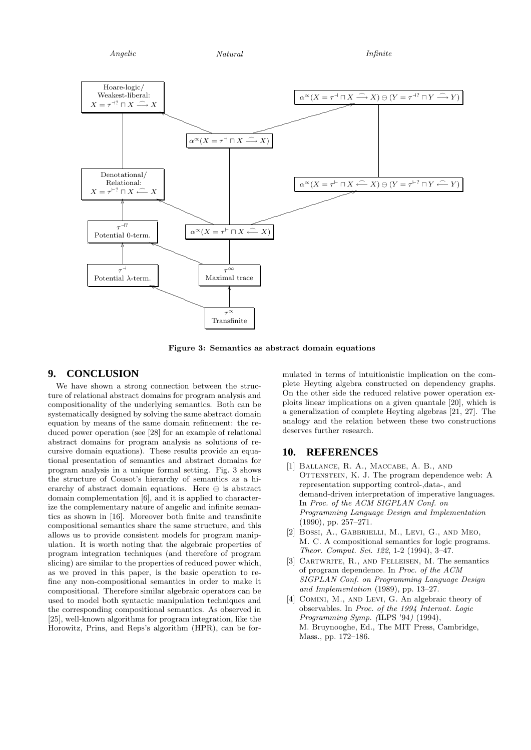Angelic  $Natural$   $Infinite$ 



Figure 3: Semantics as abstract domain equations

#### **9. CONCLUSION**

We have shown a strong connection between the structure of relational abstract domains for program analysis and compositionality of the underlying semantics. Both can be systematically designed by solving the same abstract domain equation by means of the same domain refinement: the reduced power operation (see [28] for an example of relational abstract domains for program analysis as solutions of recursive domain equations). These results provide an equational presentation of semantics and abstract domains for program analysis in a unique formal setting. Fig. 3 shows the structure of Cousot's hierarchy of semantics as a hierarchy of abstract domain equations. Here  $\ominus$  is abstract domain complementation [6], and it is applied to characterize the complementary nature of angelic and infinite semantics as shown in [16]. Moreover both finite and transfinite compositional semantics share the same structure, and this allows us to provide consistent models for program manipulation. It is worth noting that the algebraic properties of program integration techniques (and therefore of program slicing) are similar to the properties of reduced power which, as we proved in this paper, is the basic operation to refine any non-compositional semantics in order to make it compositional. Therefore similar algebraic operators can be used to model both syntactic manipulation techniques and the corresponding compositional semantics. As observed in [25], well-known algorithms for program integration, like the Horowitz, Prins, and Reps's algorithm (HPR), can be for-

mulated in terms of intuitionistic implication on the complete Heyting algebra constructed on dependency graphs. On the other side the reduced relative power operation exploits linear implications on a given quantale [20], which is a generalization of complete Heyting algebras [21, 27]. The analogy and the relation between these two constructions deserves further research.

#### **10. REFERENCES**

- [1] Ballance, R. A., Maccabe, A. B., and OTTENSTEIN, K. J. The program dependence web: A representation supporting control-,data-, and demand-driven interpretation of imperative languages. In Proc. of the ACM SIGPLAN Conf. on Programming Language Design and Implementation (1990), pp. 257–271.
- [2] Bossi, A., Gabbrielli, M., Levi, G., and Meo, M. C. A compositional semantics for logic programs. Theor. Comput. Sci. 122, 1-2 (1994), 3–47.
- [3] CARTWRITE, R., AND FELLEISEN, M. The semantics of program dependence. In Proc. of the ACM SIGPLAN Conf. on Programming Language Design and Implementation (1989), pp. 13–27.
- [4] COMINI, M., AND LEVI, G. An algebraic theory of observables. In Proc. of the 1994 Internat. Logic Programming Symp. (ILPS '94) (1994), M. Bruynooghe, Ed., The MIT Press, Cambridge, Mass., pp. 172–186.